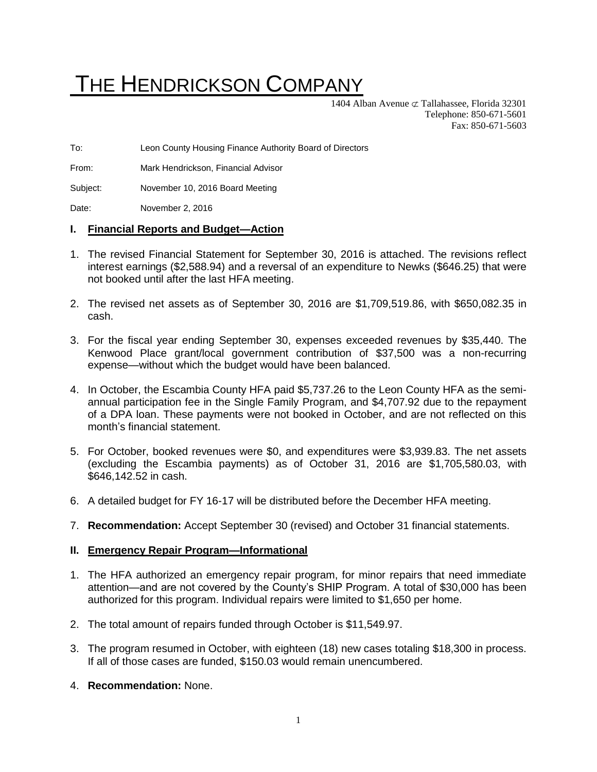# THE HENDRICKSON COMPANY

1404 Alban Avenue  $\subset \mathcal{I}$  Tallahassee, Florida 32301 Telephone: 850-671-5601 Fax: 850-671-5603

To: Leon County Housing Finance Authority Board of Directors

From: Mark Hendrickson, Financial Advisor

Subject: November 10, 2016 Board Meeting

Date: November 2, 2016

#### **I. Financial Reports and Budget—Action**

- 1. The revised Financial Statement for September 30, 2016 is attached. The revisions reflect interest earnings (\$2,588.94) and a reversal of an expenditure to Newks (\$646.25) that were not booked until after the last HFA meeting.
- 2. The revised net assets as of September 30, 2016 are \$1,709,519.86, with \$650,082.35 in cash.
- 3. For the fiscal year ending September 30, expenses exceeded revenues by \$35,440. The Kenwood Place grant/local government contribution of \$37,500 was a non-recurring expense—without which the budget would have been balanced.
- 4. In October, the Escambia County HFA paid \$5,737.26 to the Leon County HFA as the semiannual participation fee in the Single Family Program, and \$4,707.92 due to the repayment of a DPA loan. These payments were not booked in October, and are not reflected on this month's financial statement.
- 5. For October, booked revenues were \$0, and expenditures were \$3,939.83. The net assets (excluding the Escambia payments) as of October 31, 2016 are \$1,705,580.03, with \$646,142.52 in cash.
- 6. A detailed budget for FY 16-17 will be distributed before the December HFA meeting.
- 7. **Recommendation:** Accept September 30 (revised) and October 31 financial statements.

## **II. Emergency Repair Program—Informational**

- 1. The HFA authorized an emergency repair program, for minor repairs that need immediate attention—and are not covered by the County's SHIP Program. A total of \$30,000 has been authorized for this program. Individual repairs were limited to \$1,650 per home.
- 2. The total amount of repairs funded through October is \$11,549.97.
- 3. The program resumed in October, with eighteen (18) new cases totaling \$18,300 in process. If all of those cases are funded, \$150.03 would remain unencumbered.
- 4. **Recommendation:** None.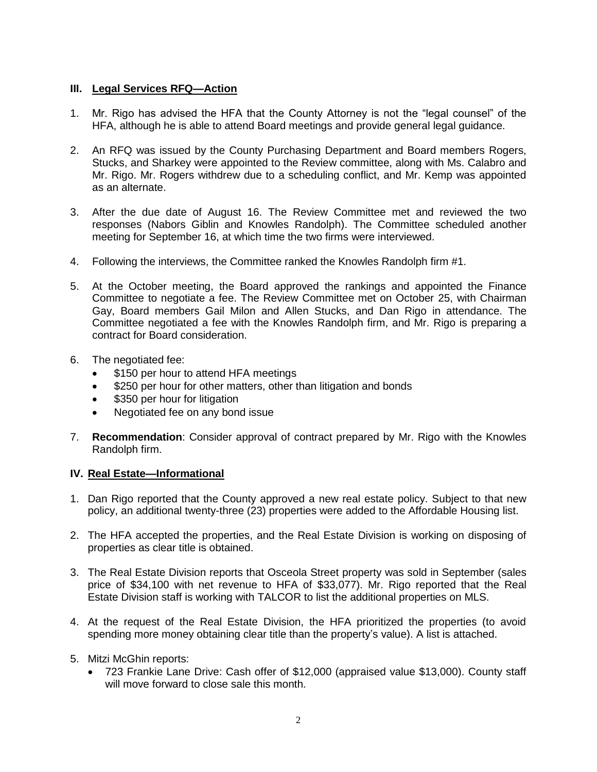## **III. Legal Services RFQ—Action**

- 1. Mr. Rigo has advised the HFA that the County Attorney is not the "legal counsel" of the HFA, although he is able to attend Board meetings and provide general legal guidance.
- 2. An RFQ was issued by the County Purchasing Department and Board members Rogers, Stucks, and Sharkey were appointed to the Review committee, along with Ms. Calabro and Mr. Rigo. Mr. Rogers withdrew due to a scheduling conflict, and Mr. Kemp was appointed as an alternate.
- 3. After the due date of August 16. The Review Committee met and reviewed the two responses (Nabors Giblin and Knowles Randolph). The Committee scheduled another meeting for September 16, at which time the two firms were interviewed.
- 4. Following the interviews, the Committee ranked the Knowles Randolph firm #1.
- 5. At the October meeting, the Board approved the rankings and appointed the Finance Committee to negotiate a fee. The Review Committee met on October 25, with Chairman Gay, Board members Gail Milon and Allen Stucks, and Dan Rigo in attendance. The Committee negotiated a fee with the Knowles Randolph firm, and Mr. Rigo is preparing a contract for Board consideration.
- 6. The negotiated fee:
	- \$150 per hour to attend HFA meetings
	- \$250 per hour for other matters, other than litigation and bonds
	- \$350 per hour for litigation
	- Negotiated fee on any bond issue
- 7. **Recommendation**: Consider approval of contract prepared by Mr. Rigo with the Knowles Randolph firm.

## **IV. Real Estate—Informational**

- 1. Dan Rigo reported that the County approved a new real estate policy. Subject to that new policy, an additional twenty-three (23) properties were added to the Affordable Housing list.
- 2. The HFA accepted the properties, and the Real Estate Division is working on disposing of properties as clear title is obtained.
- 3. The Real Estate Division reports that Osceola Street property was sold in September (sales price of \$34,100 with net revenue to HFA of \$33,077). Mr. Rigo reported that the Real Estate Division staff is working with TALCOR to list the additional properties on MLS.
- 4. At the request of the Real Estate Division, the HFA prioritized the properties (to avoid spending more money obtaining clear title than the property's value). A list is attached.
- 5. Mitzi McGhin reports:
	- 723 Frankie Lane Drive: Cash offer of \$12,000 (appraised value \$13,000). County staff will move forward to close sale this month.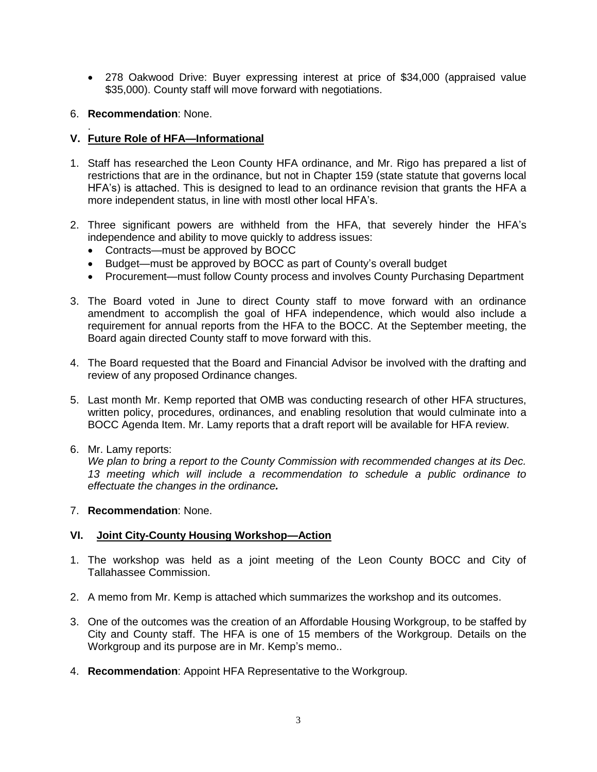- 278 Oakwood Drive: Buyer expressing interest at price of \$34,000 (appraised value \$35,000). County staff will move forward with negotiations.
- 6. **Recommendation**: None.

#### . **V. Future Role of HFA—Informational**

- 1. Staff has researched the Leon County HFA ordinance, and Mr. Rigo has prepared a list of restrictions that are in the ordinance, but not in Chapter 159 (state statute that governs local HFA's) is attached. This is designed to lead to an ordinance revision that grants the HFA a more independent status, in line with mostl other local HFA's.
- 2. Three significant powers are withheld from the HFA, that severely hinder the HFA's independence and ability to move quickly to address issues:
	- Contracts—must be approved by BOCC
	- Budget—must be approved by BOCC as part of County's overall budget
	- Procurement—must follow County process and involves County Purchasing Department
- 3. The Board voted in June to direct County staff to move forward with an ordinance amendment to accomplish the goal of HFA independence, which would also include a requirement for annual reports from the HFA to the BOCC. At the September meeting, the Board again directed County staff to move forward with this.
- 4. The Board requested that the Board and Financial Advisor be involved with the drafting and review of any proposed Ordinance changes.
- 5. Last month Mr. Kemp reported that OMB was conducting research of other HFA structures, written policy, procedures, ordinances, and enabling resolution that would culminate into a BOCC Agenda Item. Mr. Lamy reports that a draft report will be available for HFA review.
- 6. Mr. Lamy reports:

*We plan to bring a report to the County Commission with recommended changes at its Dec. 13 meeting which will include a recommendation to schedule a public ordinance to effectuate the changes in the ordinance.*

7. **Recommendation**: None.

## **VI. Joint City-County Housing Workshop—Action**

- 1. The workshop was held as a joint meeting of the Leon County BOCC and City of Tallahassee Commission.
- 2. A memo from Mr. Kemp is attached which summarizes the workshop and its outcomes.
- 3. One of the outcomes was the creation of an Affordable Housing Workgroup, to be staffed by City and County staff. The HFA is one of 15 members of the Workgroup. Details on the Workgroup and its purpose are in Mr. Kemp's memo..
- 4. **Recommendation**: Appoint HFA Representative to the Workgroup.